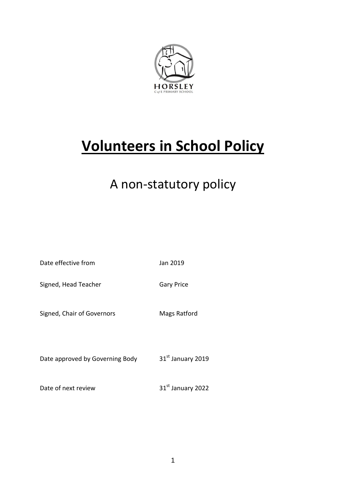

# **Volunteers in School Policy**

## A non-statutory policy

| Date effective from             | Jan 2019          |
|---------------------------------|-------------------|
| Signed, Head Teacher            | <b>Gary Price</b> |
| Signed, Chair of Governors      | Mags Ratford      |
| Date approved by Governing Body | 31st January 2019 |

Date of next review 31st January 2022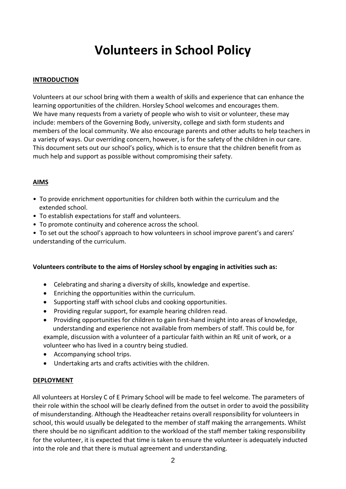### **Volunteers in School Policy**

#### **INTRODUCTION**

Volunteers at our school bring with them a wealth of skills and experience that can enhance the learning opportunities of the children. Horsley School welcomes and encourages them. We have many requests from a variety of people who wish to visit or volunteer, these may include: members of the Governing Body, university, college and sixth form students and members of the local community. We also encourage parents and other adults to help teachers in a variety of ways. Our overriding concern, however, is for the safety of the children in our care. This document sets out our school's policy, which is to ensure that the children benefit from as much help and support as possible without compromising their safety.

#### **AIMS**

- To provide enrichment opportunities for children both within the curriculum and the extended school.
- To establish expectations for staff and volunteers.
- To promote continuity and coherence across the school.
- To set out the school's approach to how volunteers in school improve parent's and carers' understanding of the curriculum.

#### **Volunteers contribute to the aims of Horsley school by engaging in activities such as:**

- Celebrating and sharing a diversity of skills, knowledge and expertise.
- Enriching the opportunities within the curriculum.
- Supporting staff with school clubs and cooking opportunities.
- Providing regular support, for example hearing children read.
- Providing opportunities for children to gain first-hand insight into areas of knowledge, understanding and experience not available from members of staff. This could be, for example, discussion with a volunteer of a particular faith within an RE unit of work, or a volunteer who has lived in a country being studied.
- Accompanying school trips.
- Undertaking arts and crafts activities with the children.

#### **DEPLOYMENT**

All volunteers at Horsley C of E Primary School will be made to feel welcome. The parameters of their role within the school will be clearly defined from the outset in order to avoid the possibility of misunderstanding. Although the Headteacher retains overall responsibility for volunteers in school, this would usually be delegated to the member of staff making the arrangements. Whilst there should be no significant addition to the workload of the staff member taking responsibility for the volunteer, it is expected that time is taken to ensure the volunteer is adequately inducted into the role and that there is mutual agreement and understanding.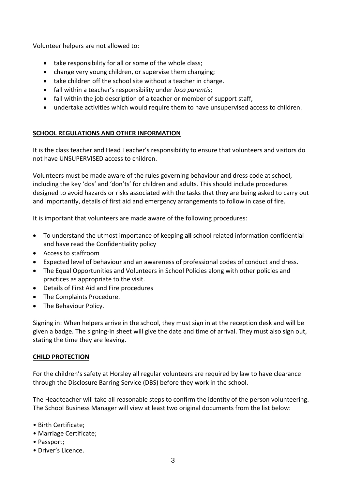Volunteer helpers are not allowed to:

- take responsibility for all or some of the whole class:
- change very young children, or supervise them changing;
- take children off the school site without a teacher in charge.
- fall within a teacher's responsibility under *loco parenti*s;
- fall within the job description of a teacher or member of support staff,
- undertake activities which would require them to have unsupervised access to children.

#### **SCHOOL REGULATIONS AND OTHER INFORMATION**

It is the class teacher and Head Teacher's responsibility to ensure that volunteers and visitors do not have UNSUPERVISED access to children.

Volunteers must be made aware of the rules governing behaviour and dress code at school, including the key 'dos' and 'don'ts' for children and adults. This should include procedures designed to avoid hazards or risks associated with the tasks that they are being asked to carry out and importantly, details of first aid and emergency arrangements to follow in case of fire.

It is important that volunteers are made aware of the following procedures:

- To understand the utmost importance of keeping **all** school related information confidential and have read the Confidentiality policy
- Access to staffroom
- Expected level of behaviour and an awareness of professional codes of conduct and dress.
- The Equal Opportunities and Volunteers in School Policies along with other policies and practices as appropriate to the visit.
- Details of First Aid and Fire procedures
- The Complaints Procedure.
- The Behaviour Policy.

Signing in: When helpers arrive in the school, they must sign in at the reception desk and will be given a badge. The signing-in sheet will give the date and time of arrival. They must also sign out, stating the time they are leaving.

#### **CHILD PROTECTION**

For the children's safety at Horsley all regular volunteers are required by law to have clearance through the Disclosure Barring Service (DBS) before they work in the school.

The Headteacher will take all reasonable steps to confirm the identity of the person volunteering. The School Business Manager will view at least two original documents from the list below:

- Birth Certificate;
- Marriage Certificate;
- Passport;
- Driver's Licence.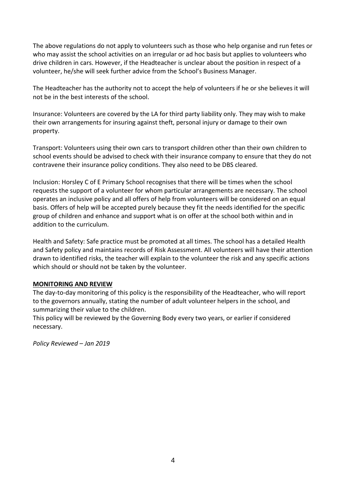The above regulations do not apply to volunteers such as those who help organise and run fetes or who may assist the school activities on an irregular or ad hoc basis but applies to volunteers who drive children in cars. However, if the Headteacher is unclear about the position in respect of a volunteer, he/she will seek further advice from the School's Business Manager.

The Headteacher has the authority not to accept the help of volunteers if he or she believes it will not be in the best interests of the school.

Insurance: Volunteers are covered by the LA for third party liability only. They may wish to make their own arrangements for insuring against theft, personal injury or damage to their own property.

Transport: Volunteers using their own cars to transport children other than their own children to school events should be advised to check with their insurance company to ensure that they do not contravene their insurance policy conditions. They also need to be DBS cleared.

Inclusion: Horsley C of E Primary School recognises that there will be times when the school requests the support of a volunteer for whom particular arrangements are necessary. The school operates an inclusive policy and all offers of help from volunteers will be considered on an equal basis. Offers of help will be accepted purely because they fit the needs identified for the specific group of children and enhance and support what is on offer at the school both within and in addition to the curriculum.

Health and Safety: Safe practice must be promoted at all times. The school has a detailed Health and Safety policy and maintains records of Risk Assessment. All volunteers will have their attention drawn to identified risks, the teacher will explain to the volunteer the risk and any specific actions which should or should not be taken by the volunteer.

#### **MONITORING AND REVIEW**

The day-to-day monitoring of this policy is the responsibility of the Headteacher, who will report to the governors annually, stating the number of adult volunteer helpers in the school, and summarizing their value to the children.

This policy will be reviewed by the Governing Body every two years, or earlier if considered necessary.

*Policy Reviewed – Jan 2019*